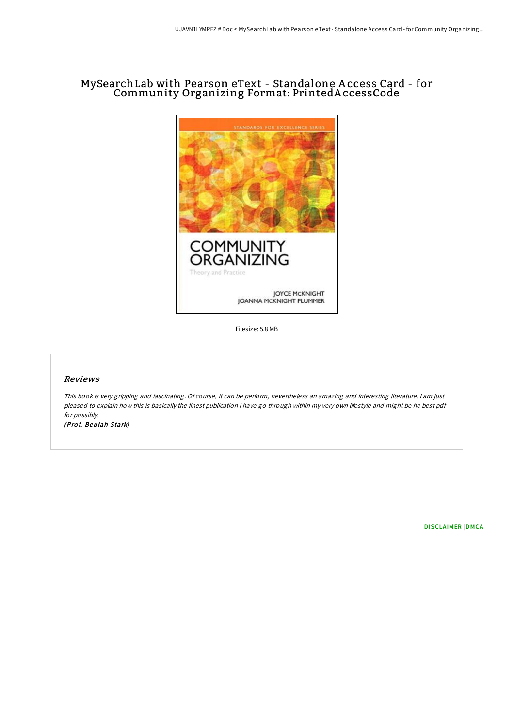# MySearchLab with Pearson eText - Standalone A ccess Card - for Community Organizing Format: PrintedA ccessCode



Filesize: 5.8 MB

#### Reviews

This book is very gripping and fascinating. Of course, it can be perform, nevertheless an amazing and interesting literature. <sup>I</sup> am just pleased to explain how this is basically the finest publication i have go through within my very own lifestyle and might be he best pdf for possibly.

(Pro f. Beulah Stark)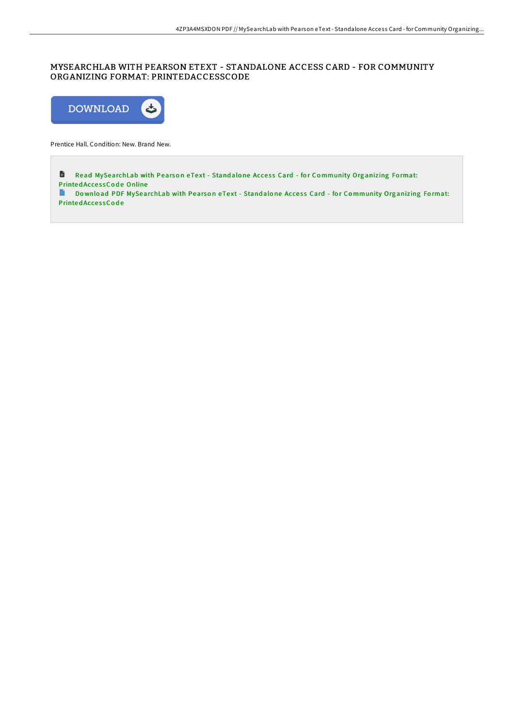# MYSEARCHLAB WITH PEARSON ETEXT - STANDALONE ACCESS CARD - FOR COMMUNITY ORGANIZING FORMAT: PRINTEDACCESSCODE



Prentice Hall. Condition: New. Brand New.

**B** Read [MySearchLab](http://almighty24.tech/mysearchlab-with-pearson-etext-standalone-access-5.html) with Pearson eText - Stand alone Access Card - for Community Organizing Format: Printed Access Code Online

Do wnload PDF [MySearchLab](http://almighty24.tech/mysearchlab-with-pearson-etext-standalone-access-5.html) with Pearson eText - Standalone Access Card - for Community Organizing Format: Printed AccessCode